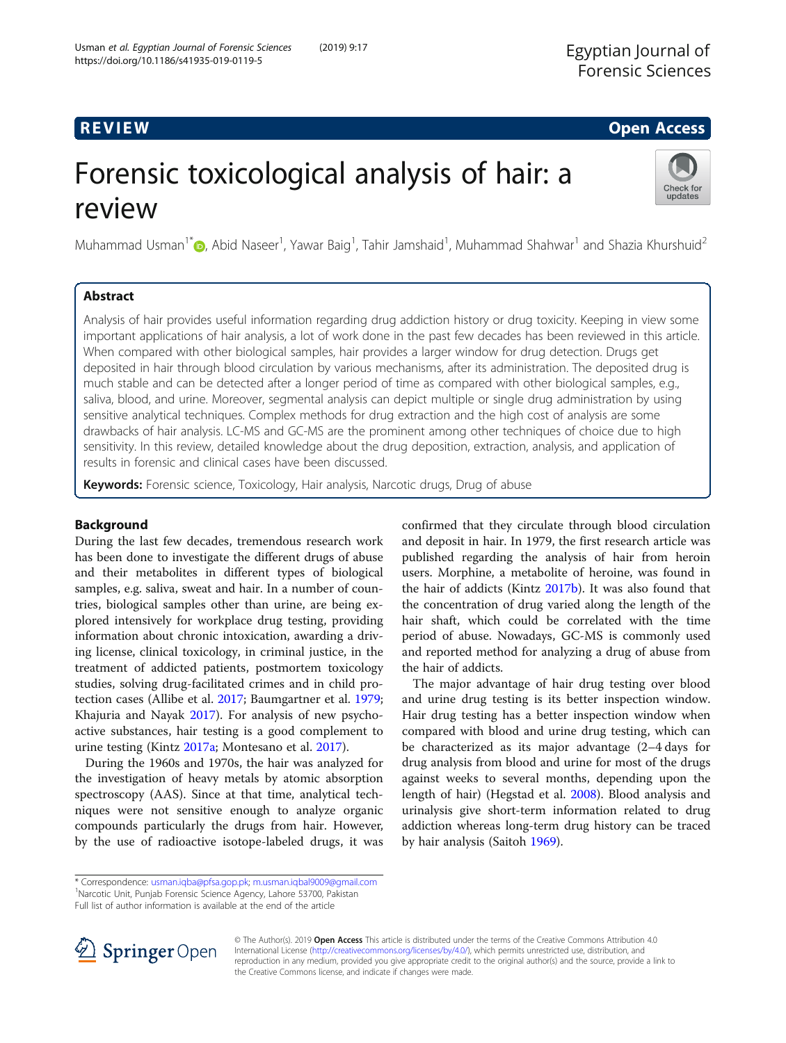# R EVI EW Open Access

Check for updates

# Forensic toxicological analysis of hair: a review

Muhammad Usman<sup>1\*</sup>�[,](http://orcid.org/0000-0003-1392-8708) Abid Naseer<sup>1</sup>, Yawar Baig<sup>1</sup>, Tahir Jamshaid<sup>1</sup>, Muhammad Shahwar<sup>1</sup> and Shazia Khurshuid<sup>2</sup>

# Abstract

Analysis of hair provides useful information regarding drug addiction history or drug toxicity. Keeping in view some important applications of hair analysis, a lot of work done in the past few decades has been reviewed in this article. When compared with other biological samples, hair provides a larger window for drug detection. Drugs get deposited in hair through blood circulation by various mechanisms, after its administration. The deposited drug is much stable and can be detected after a longer period of time as compared with other biological samples, e.g., saliva, blood, and urine. Moreover, segmental analysis can depict multiple or single drug administration by using sensitive analytical techniques. Complex methods for drug extraction and the high cost of analysis are some drawbacks of hair analysis. LC-MS and GC-MS are the prominent among other techniques of choice due to high sensitivity. In this review, detailed knowledge about the drug deposition, extraction, analysis, and application of results in forensic and clinical cases have been discussed.

Keywords: Forensic science, Toxicology, Hair analysis, Narcotic drugs, Drug of abuse

# Background

During the last few decades, tremendous research work has been done to investigate the different drugs of abuse and their metabolites in different types of biological samples, e.g. saliva, sweat and hair. In a number of countries, biological samples other than urine, are being explored intensively for workplace drug testing, providing information about chronic intoxication, awarding a driving license, clinical toxicology, in criminal justice, in the treatment of addicted patients, postmortem toxicology studies, solving drug-facilitated crimes and in child protection cases (Allibe et al. [2017;](#page-8-0) Baumgartner et al. [1979](#page-8-0); Khajuria and Nayak [2017\)](#page-9-0). For analysis of new psychoactive substances, hair testing is a good complement to urine testing (Kintz [2017a](#page-9-0); Montesano et al. [2017](#page-10-0)).

During the 1960s and 1970s, the hair was analyzed for the investigation of heavy metals by atomic absorption spectroscopy (AAS). Since at that time, analytical techniques were not sensitive enough to analyze organic compounds particularly the drugs from hair. However, by the use of radioactive isotope-labeled drugs, it was confirmed that they circulate through blood circulation and deposit in hair. In 1979, the first research article was published regarding the analysis of hair from heroin users. Morphine, a metabolite of heroine, was found in the hair of addicts (Kintz [2017b](#page-9-0)). It was also found that the concentration of drug varied along the length of the hair shaft, which could be correlated with the time period of abuse. Nowadays, GC-MS is commonly used and reported method for analyzing a drug of abuse from the hair of addicts.

The major advantage of hair drug testing over blood and urine drug testing is its better inspection window. Hair drug testing has a better inspection window when compared with blood and urine drug testing, which can be characterized as its major advantage (2–4 days for drug analysis from blood and urine for most of the drugs against weeks to several months, depending upon the length of hair) (Hegstad et al. [2008](#page-9-0)). Blood analysis and urinalysis give short-term information related to drug addiction whereas long-term drug history can be traced by hair analysis (Saitoh [1969\)](#page-10-0).

<sup>1</sup>Narcotic Unit, Punjab Forensic Science Agency, Lahore 53700, Pakistan

Full list of author information is available at the end of the article



© The Author(s). 2019 Open Access This article is distributed under the terms of the Creative Commons Attribution 4.0 International License ([http://creativecommons.org/licenses/by/4.0/\)](http://creativecommons.org/licenses/by/4.0/), which permits unrestricted use, distribution, and reproduction in any medium, provided you give appropriate credit to the original author(s) and the source, provide a link to the Creative Commons license, and indicate if changes were made.

<sup>\*</sup> Correspondence: [usman.iqba@pfsa.gop.pk](mailto:usman.iqba@pfsa.gop.pk); [m.usman.iqbal9009@gmail.com](mailto:m.usman.iqbal9009@gmail.com) <sup>1</sup>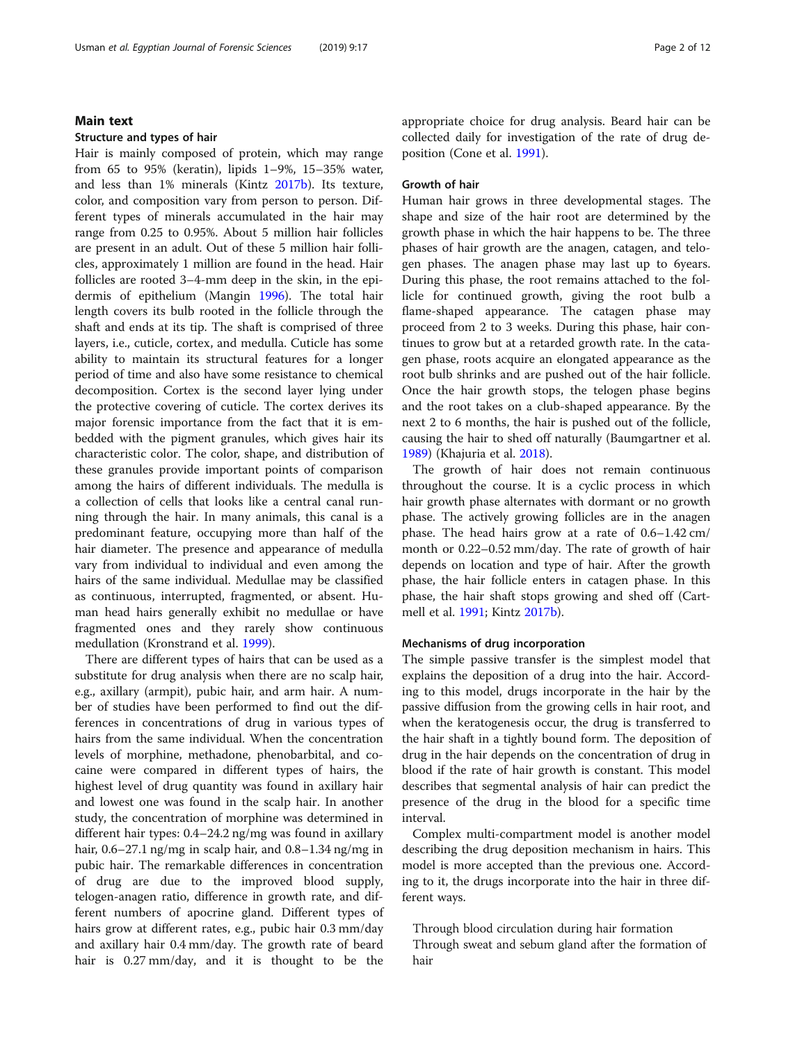# Main text

#### Structure and types of hair

Hair is mainly composed of protein, which may range from 65 to 95% (keratin), lipids 1–9%, 15–35% water, and less than 1% minerals (Kintz [2017b](#page-9-0)). Its texture, color, and composition vary from person to person. Different types of minerals accumulated in the hair may range from 0.25 to 0.95%. About 5 million hair follicles are present in an adult. Out of these 5 million hair follicles, approximately 1 million are found in the head. Hair follicles are rooted 3–4-mm deep in the skin, in the epidermis of epithelium (Mangin [1996\)](#page-10-0). The total hair length covers its bulb rooted in the follicle through the shaft and ends at its tip. The shaft is comprised of three layers, i.e., cuticle, cortex, and medulla. Cuticle has some ability to maintain its structural features for a longer period of time and also have some resistance to chemical decomposition. Cortex is the second layer lying under the protective covering of cuticle. The cortex derives its major forensic importance from the fact that it is embedded with the pigment granules, which gives hair its characteristic color. The color, shape, and distribution of these granules provide important points of comparison among the hairs of different individuals. The medulla is a collection of cells that looks like a central canal running through the hair. In many animals, this canal is a predominant feature, occupying more than half of the hair diameter. The presence and appearance of medulla vary from individual to individual and even among the hairs of the same individual. Medullae may be classified as continuous, interrupted, fragmented, or absent. Human head hairs generally exhibit no medullae or have fragmented ones and they rarely show continuous medullation (Kronstrand et al. [1999](#page-10-0)).

There are different types of hairs that can be used as a substitute for drug analysis when there are no scalp hair, e.g., axillary (armpit), pubic hair, and arm hair. A number of studies have been performed to find out the differences in concentrations of drug in various types of hairs from the same individual. When the concentration levels of morphine, methadone, phenobarbital, and cocaine were compared in different types of hairs, the highest level of drug quantity was found in axillary hair and lowest one was found in the scalp hair. In another study, the concentration of morphine was determined in different hair types: 0.4–24.2 ng/mg was found in axillary hair, 0.6–27.1 ng/mg in scalp hair, and 0.8–1.34 ng/mg in pubic hair. The remarkable differences in concentration of drug are due to the improved blood supply, telogen-anagen ratio, difference in growth rate, and different numbers of apocrine gland. Different types of hairs grow at different rates, e.g., pubic hair 0.3 mm/day and axillary hair 0.4 mm/day. The growth rate of beard hair is 0.27 mm/day, and it is thought to be the appropriate choice for drug analysis. Beard hair can be collected daily for investigation of the rate of drug deposition (Cone et al. [1991](#page-9-0)).

# Growth of hair

Human hair grows in three developmental stages. The shape and size of the hair root are determined by the growth phase in which the hair happens to be. The three phases of hair growth are the anagen, catagen, and telogen phases. The anagen phase may last up to 6years. During this phase, the root remains attached to the follicle for continued growth, giving the root bulb a flame-shaped appearance. The catagen phase may proceed from 2 to 3 weeks. During this phase, hair continues to grow but at a retarded growth rate. In the catagen phase, roots acquire an elongated appearance as the root bulb shrinks and are pushed out of the hair follicle. Once the hair growth stops, the telogen phase begins and the root takes on a club-shaped appearance. By the next 2 to 6 months, the hair is pushed out of the follicle, causing the hair to shed off naturally (Baumgartner et al. [1989](#page-8-0)) (Khajuria et al. [2018](#page-9-0)).

The growth of hair does not remain continuous throughout the course. It is a cyclic process in which hair growth phase alternates with dormant or no growth phase. The actively growing follicles are in the anagen phase. The head hairs grow at a rate of 0.6–1.42 cm/ month or 0.22–0.52 mm/day. The rate of growth of hair depends on location and type of hair. After the growth phase, the hair follicle enters in catagen phase. In this phase, the hair shaft stops growing and shed off (Cartmell et al. [1991;](#page-9-0) Kintz [2017b](#page-9-0)).

#### Mechanisms of drug incorporation

The simple passive transfer is the simplest model that explains the deposition of a drug into the hair. According to this model, drugs incorporate in the hair by the passive diffusion from the growing cells in hair root, and when the keratogenesis occur, the drug is transferred to the hair shaft in a tightly bound form. The deposition of drug in the hair depends on the concentration of drug in blood if the rate of hair growth is constant. This model describes that segmental analysis of hair can predict the presence of the drug in the blood for a specific time interval.

Complex multi-compartment model is another model describing the drug deposition mechanism in hairs. This model is more accepted than the previous one. According to it, the drugs incorporate into the hair in three different ways.

Through blood circulation during hair formation Through sweat and sebum gland after the formation of hair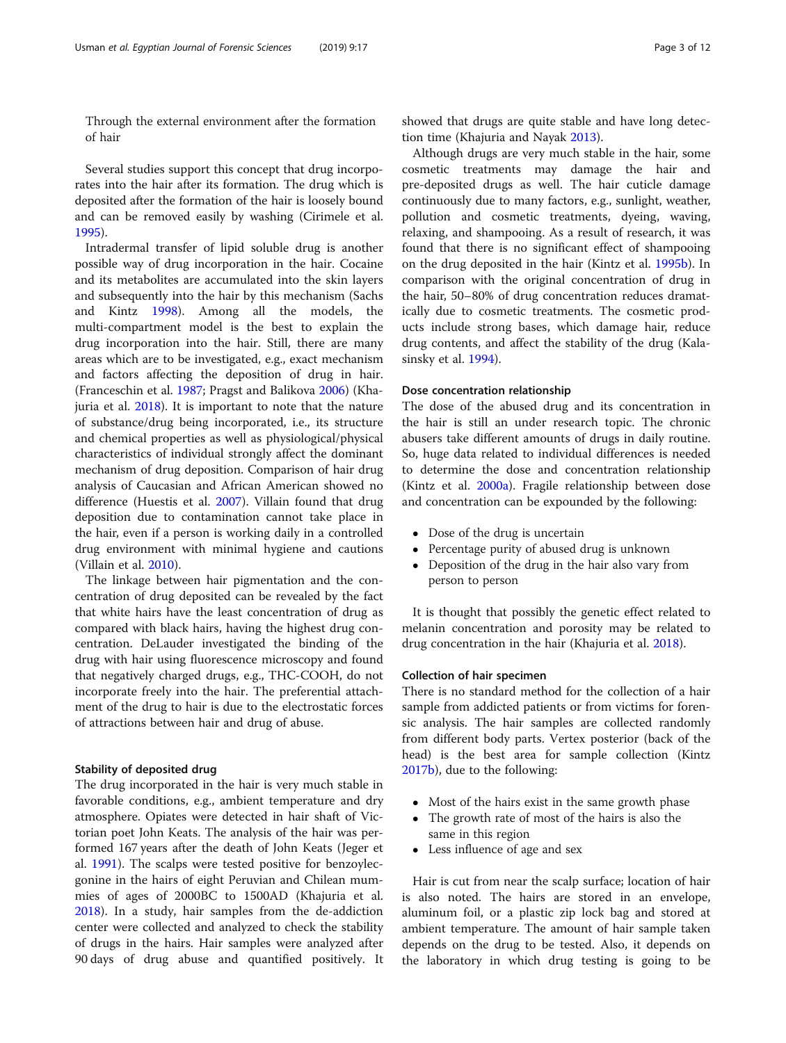Through the external environment after the formation of hair

Several studies support this concept that drug incorporates into the hair after its formation. The drug which is deposited after the formation of the hair is loosely bound and can be removed easily by washing (Cirimele et al. [1995](#page-9-0)).

Intradermal transfer of lipid soluble drug is another possible way of drug incorporation in the hair. Cocaine and its metabolites are accumulated into the skin layers and subsequently into the hair by this mechanism (Sachs and Kintz [1998\)](#page-10-0). Among all the models, the multi-compartment model is the best to explain the drug incorporation into the hair. Still, there are many areas which are to be investigated, e.g., exact mechanism and factors affecting the deposition of drug in hair. (Franceschin et al. [1987;](#page-9-0) Pragst and Balikova [2006\)](#page-10-0) (Khajuria et al. [2018\)](#page-9-0). It is important to note that the nature of substance/drug being incorporated, i.e., its structure and chemical properties as well as physiological/physical characteristics of individual strongly affect the dominant mechanism of drug deposition. Comparison of hair drug analysis of Caucasian and African American showed no difference (Huestis et al. [2007](#page-9-0)). Villain found that drug deposition due to contamination cannot take place in the hair, even if a person is working daily in a controlled drug environment with minimal hygiene and cautions (Villain et al. [2010\)](#page-11-0).

The linkage between hair pigmentation and the concentration of drug deposited can be revealed by the fact that white hairs have the least concentration of drug as compared with black hairs, having the highest drug concentration. DeLauder investigated the binding of the drug with hair using fluorescence microscopy and found that negatively charged drugs, e.g., THC-COOH, do not incorporate freely into the hair. The preferential attachment of the drug to hair is due to the electrostatic forces of attractions between hair and drug of abuse.

#### Stability of deposited drug

The drug incorporated in the hair is very much stable in favorable conditions, e.g., ambient temperature and dry atmosphere. Opiates were detected in hair shaft of Victorian poet John Keats. The analysis of the hair was performed 167 years after the death of John Keats (Jeger et al. [1991](#page-9-0)). The scalps were tested positive for benzoylecgonine in the hairs of eight Peruvian and Chilean mummies of ages of 2000BC to 1500AD (Khajuria et al. [2018](#page-9-0)). In a study, hair samples from the de-addiction center were collected and analyzed to check the stability of drugs in the hairs. Hair samples were analyzed after 90 days of drug abuse and quantified positively. It showed that drugs are quite stable and have long detection time (Khajuria and Nayak [2013](#page-9-0)).

Although drugs are very much stable in the hair, some cosmetic treatments may damage the hair and pre-deposited drugs as well. The hair cuticle damage continuously due to many factors, e.g., sunlight, weather, pollution and cosmetic treatments, dyeing, waving, relaxing, and shampooing. As a result of research, it was found that there is no significant effect of shampooing on the drug deposited in the hair (Kintz et al. [1995b](#page-9-0)). In comparison with the original concentration of drug in the hair, 50–80% of drug concentration reduces dramatically due to cosmetic treatments. The cosmetic products include strong bases, which damage hair, reduce drug contents, and affect the stability of the drug (Kalasinsky et al. [1994\)](#page-9-0).

# Dose concentration relationship

The dose of the abused drug and its concentration in the hair is still an under research topic. The chronic abusers take different amounts of drugs in daily routine. So, huge data related to individual differences is needed to determine the dose and concentration relationship (Kintz et al. [2000a\)](#page-9-0). Fragile relationship between dose and concentration can be expounded by the following:

- Dose of the drug is uncertain
- Percentage purity of abused drug is unknown
- Deposition of the drug in the hair also vary from person to person

It is thought that possibly the genetic effect related to melanin concentration and porosity may be related to drug concentration in the hair (Khajuria et al. [2018\)](#page-9-0).

# Collection of hair specimen

There is no standard method for the collection of a hair sample from addicted patients or from victims for forensic analysis. The hair samples are collected randomly from different body parts. Vertex posterior (back of the head) is the best area for sample collection (Kintz [2017b](#page-9-0)), due to the following:

- Most of the hairs exist in the same growth phase
- The growth rate of most of the hairs is also the same in this region
- Less influence of age and sex

Hair is cut from near the scalp surface; location of hair is also noted. The hairs are stored in an envelope, aluminum foil, or a plastic zip lock bag and stored at ambient temperature. The amount of hair sample taken depends on the drug to be tested. Also, it depends on the laboratory in which drug testing is going to be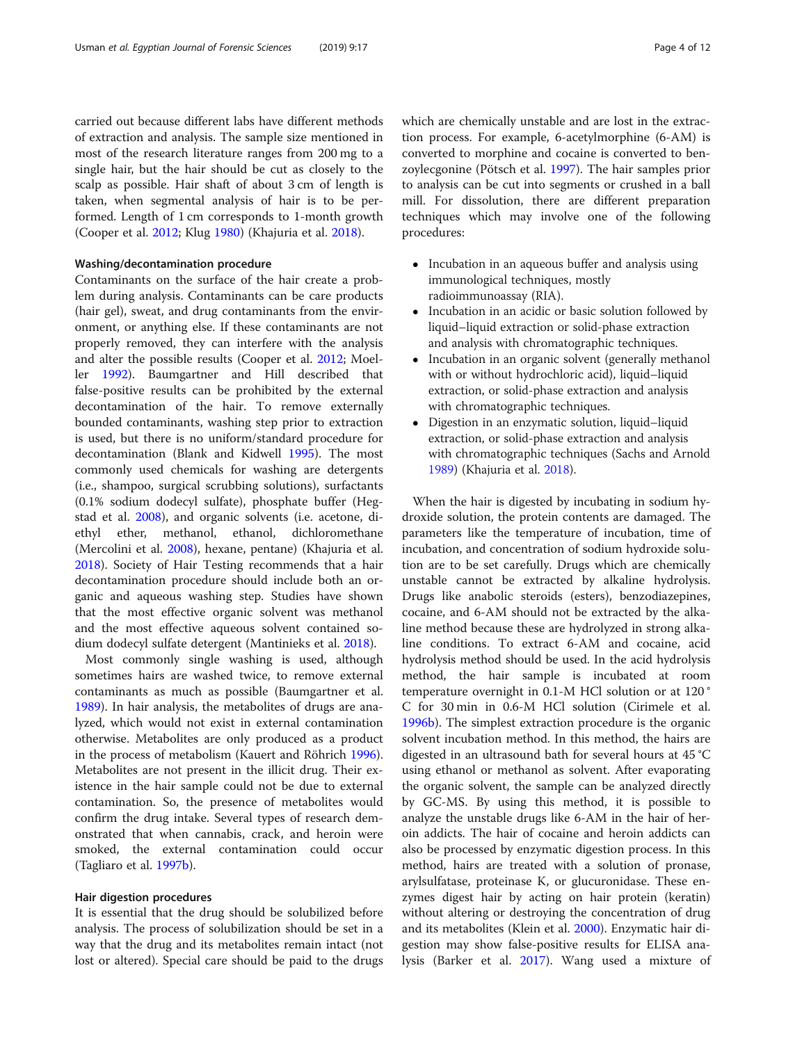carried out because different labs have different methods of extraction and analysis. The sample size mentioned in most of the research literature ranges from 200 mg to a single hair, but the hair should be cut as closely to the scalp as possible. Hair shaft of about 3 cm of length is taken, when segmental analysis of hair is to be performed. Length of 1 cm corresponds to 1-month growth

(Cooper et al. [2012](#page-9-0); Klug [1980\)](#page-10-0) (Khajuria et al. [2018\)](#page-9-0).

# Washing/decontamination procedure

Contaminants on the surface of the hair create a problem during analysis. Contaminants can be care products (hair gel), sweat, and drug contaminants from the environment, or anything else. If these contaminants are not properly removed, they can interfere with the analysis and alter the possible results (Cooper et al. [2012](#page-9-0); Moeller [1992\)](#page-10-0). Baumgartner and Hill described that false-positive results can be prohibited by the external decontamination of the hair. To remove externally bounded contaminants, washing step prior to extraction is used, but there is no uniform/standard procedure for decontamination (Blank and Kidwell [1995](#page-9-0)). The most commonly used chemicals for washing are detergents (i.e., shampoo, surgical scrubbing solutions), surfactants (0.1% sodium dodecyl sulfate), phosphate buffer (Hegstad et al. [2008](#page-9-0)), and organic solvents (i.e. acetone, diethyl ether, methanol, ethanol, dichloromethane (Mercolini et al. [2008\)](#page-10-0), hexane, pentane) (Khajuria et al. [2018](#page-9-0)). Society of Hair Testing recommends that a hair decontamination procedure should include both an organic and aqueous washing step. Studies have shown that the most effective organic solvent was methanol and the most effective aqueous solvent contained sodium dodecyl sulfate detergent (Mantinieks et al. [2018](#page-10-0)).

Most commonly single washing is used, although sometimes hairs are washed twice, to remove external contaminants as much as possible (Baumgartner et al. [1989](#page-8-0)). In hair analysis, the metabolites of drugs are analyzed, which would not exist in external contamination otherwise. Metabolites are only produced as a product in the process of metabolism (Kauert and Röhrich [1996](#page-9-0)). Metabolites are not present in the illicit drug. Their existence in the hair sample could not be due to external contamination. So, the presence of metabolites would confirm the drug intake. Several types of research demonstrated that when cannabis, crack, and heroin were smoked, the external contamination could occur (Tagliaro et al. [1997b](#page-11-0)).

#### Hair digestion procedures

It is essential that the drug should be solubilized before analysis. The process of solubilization should be set in a way that the drug and its metabolites remain intact (not lost or altered). Special care should be paid to the drugs which are chemically unstable and are lost in the extraction process. For example, 6-acetylmorphine (6-AM) is converted to morphine and cocaine is converted to benzoylecgonine (Pötsch et al. [1997\)](#page-10-0). The hair samples prior to analysis can be cut into segments or crushed in a ball mill. For dissolution, there are different preparation techniques which may involve one of the following procedures:

- Incubation in an aqueous buffer and analysis using immunological techniques, mostly radioimmunoassay (RIA).
- Incubation in an acidic or basic solution followed by liquid–liquid extraction or solid-phase extraction and analysis with chromatographic techniques.
- Incubation in an organic solvent (generally methanol with or without hydrochloric acid), liquid–liquid extraction, or solid-phase extraction and analysis with chromatographic techniques.
- Digestion in an enzymatic solution, liquid–liquid extraction, or solid-phase extraction and analysis with chromatographic techniques (Sachs and Arnold [1989\)](#page-10-0) (Khajuria et al. [2018\)](#page-9-0).

When the hair is digested by incubating in sodium hydroxide solution, the protein contents are damaged. The parameters like the temperature of incubation, time of incubation, and concentration of sodium hydroxide solution are to be set carefully. Drugs which are chemically unstable cannot be extracted by alkaline hydrolysis. Drugs like anabolic steroids (esters), benzodiazepines, cocaine, and 6-AM should not be extracted by the alkaline method because these are hydrolyzed in strong alkaline conditions. To extract 6-AM and cocaine, acid hydrolysis method should be used. In the acid hydrolysis method, the hair sample is incubated at room temperature overnight in 0.1-M HCl solution or at 120 ° C for 30 min in 0.6-M HCl solution (Cirimele et al. [1996b](#page-9-0)). The simplest extraction procedure is the organic solvent incubation method. In this method, the hairs are digested in an ultrasound bath for several hours at 45 °C using ethanol or methanol as solvent. After evaporating the organic solvent, the sample can be analyzed directly by GC-MS. By using this method, it is possible to analyze the unstable drugs like 6-AM in the hair of heroin addicts. The hair of cocaine and heroin addicts can also be processed by enzymatic digestion process. In this method, hairs are treated with a solution of pronase, arylsulfatase, proteinase K, or glucuronidase. These enzymes digest hair by acting on hair protein (keratin) without altering or destroying the concentration of drug and its metabolites (Klein et al. [2000\)](#page-10-0). Enzymatic hair digestion may show false-positive results for ELISA analysis (Barker et al. [2017\)](#page-8-0). Wang used a mixture of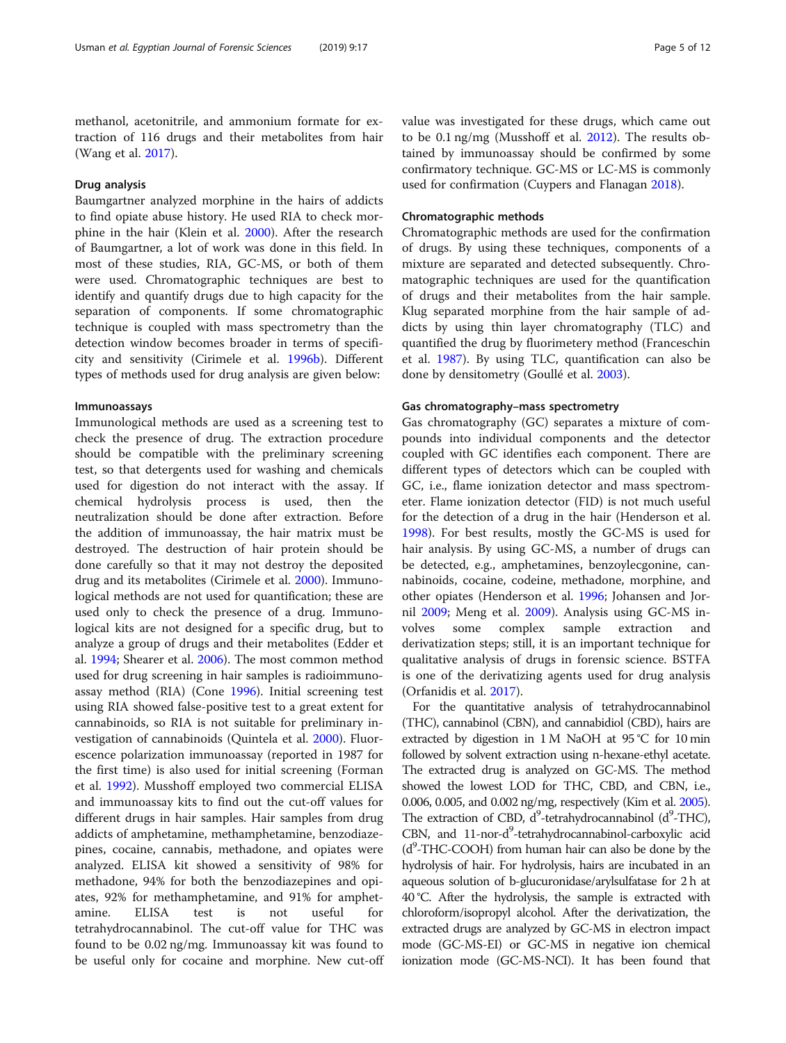methanol, acetonitrile, and ammonium formate for extraction of 116 drugs and their metabolites from hair (Wang et al. [2017](#page-11-0)).

# Drug analysis

Baumgartner analyzed morphine in the hairs of addicts to find opiate abuse history. He used RIA to check morphine in the hair (Klein et al. [2000](#page-10-0)). After the research of Baumgartner, a lot of work was done in this field. In most of these studies, RIA, GC-MS, or both of them were used. Chromatographic techniques are best to identify and quantify drugs due to high capacity for the separation of components. If some chromatographic technique is coupled with mass spectrometry than the detection window becomes broader in terms of specificity and sensitivity (Cirimele et al. [1996b\)](#page-9-0). Different types of methods used for drug analysis are given below:

#### Immunoassays

Immunological methods are used as a screening test to check the presence of drug. The extraction procedure should be compatible with the preliminary screening test, so that detergents used for washing and chemicals used for digestion do not interact with the assay. If chemical hydrolysis process is used, then the neutralization should be done after extraction. Before the addition of immunoassay, the hair matrix must be destroyed. The destruction of hair protein should be done carefully so that it may not destroy the deposited drug and its metabolites (Cirimele et al. [2000](#page-9-0)). Immunological methods are not used for quantification; these are used only to check the presence of a drug. Immunological kits are not designed for a specific drug, but to analyze a group of drugs and their metabolites (Edder et al. [1994](#page-9-0); Shearer et al. [2006](#page-10-0)). The most common method used for drug screening in hair samples is radioimmunoassay method (RIA) (Cone [1996](#page-9-0)). Initial screening test using RIA showed false-positive test to a great extent for cannabinoids, so RIA is not suitable for preliminary investigation of cannabinoids (Quintela et al. [2000\)](#page-10-0). Fluorescence polarization immunoassay (reported in 1987 for the first time) is also used for initial screening (Forman et al. [1992](#page-9-0)). Musshoff employed two commercial ELISA and immunoassay kits to find out the cut-off values for different drugs in hair samples. Hair samples from drug addicts of amphetamine, methamphetamine, benzodiazepines, cocaine, cannabis, methadone, and opiates were analyzed. ELISA kit showed a sensitivity of 98% for methadone, 94% for both the benzodiazepines and opiates, 92% for methamphetamine, and 91% for amphetamine. ELISA test is not useful for tetrahydrocannabinol. The cut-off value for THC was found to be 0.02 ng/mg. Immunoassay kit was found to be useful only for cocaine and morphine. New cut-off value was investigated for these drugs, which came out to be 0.1 ng/mg (Musshoff et al. [2012\)](#page-10-0). The results obtained by immunoassay should be confirmed by some confirmatory technique. GC-MS or LC-MS is commonly used for confirmation (Cuypers and Flanagan [2018](#page-9-0)).

#### Chromatographic methods

Chromatographic methods are used for the confirmation of drugs. By using these techniques, components of a mixture are separated and detected subsequently. Chromatographic techniques are used for the quantification of drugs and their metabolites from the hair sample. Klug separated morphine from the hair sample of addicts by using thin layer chromatography (TLC) and quantified the drug by fluorimetery method (Franceschin et al. [1987\)](#page-9-0). By using TLC, quantification can also be done by densitometry (Goullé et al. [2003](#page-9-0)).

# Gas chromatography–mass spectrometry

Gas chromatography (GC) separates a mixture of compounds into individual components and the detector coupled with GC identifies each component. There are different types of detectors which can be coupled with GC, i.e., flame ionization detector and mass spectrometer. Flame ionization detector (FID) is not much useful for the detection of a drug in the hair (Henderson et al. [1998](#page-9-0)). For best results, mostly the GC-MS is used for hair analysis. By using GC-MS, a number of drugs can be detected, e.g., amphetamines, benzoylecgonine, cannabinoids, cocaine, codeine, methadone, morphine, and other opiates (Henderson et al. [1996](#page-9-0); Johansen and Jornil [2009](#page-9-0); Meng et al. [2009\)](#page-10-0). Analysis using GC-MS involves some complex sample extraction and derivatization steps; still, it is an important technique for qualitative analysis of drugs in forensic science. BSTFA is one of the derivatizing agents used for drug analysis (Orfanidis et al. [2017](#page-10-0)).

For the quantitative analysis of tetrahydrocannabinol (THC), cannabinol (CBN), and cannabidiol (CBD), hairs are extracted by digestion in 1 M NaOH at 95 °C for 10 min followed by solvent extraction using n-hexane-ethyl acetate. The extracted drug is analyzed on GC-MS. The method showed the lowest LOD for THC, CBD, and CBN, i.e., 0.006, 0.005, and 0.002 ng/mg, respectively (Kim et al. [2005\)](#page-9-0). The extraction of CBD,  $d^9$ -tetrahydrocannabinol ( $d^9$ -THC), CBN, and 11-nor-d<sup>9</sup>-tetrahydrocannabinol-carboxylic acid (d<sup>9</sup>-THC-COOH) from human hair can also be done by the hydrolysis of hair. For hydrolysis, hairs are incubated in an aqueous solution of b-glucuronidase/arylsulfatase for 2 h at 40 °C. After the hydrolysis, the sample is extracted with chloroform/isopropyl alcohol. After the derivatization, the extracted drugs are analyzed by GC-MS in electron impact mode (GC-MS-EI) or GC-MS in negative ion chemical ionization mode (GC-MS-NCI). It has been found that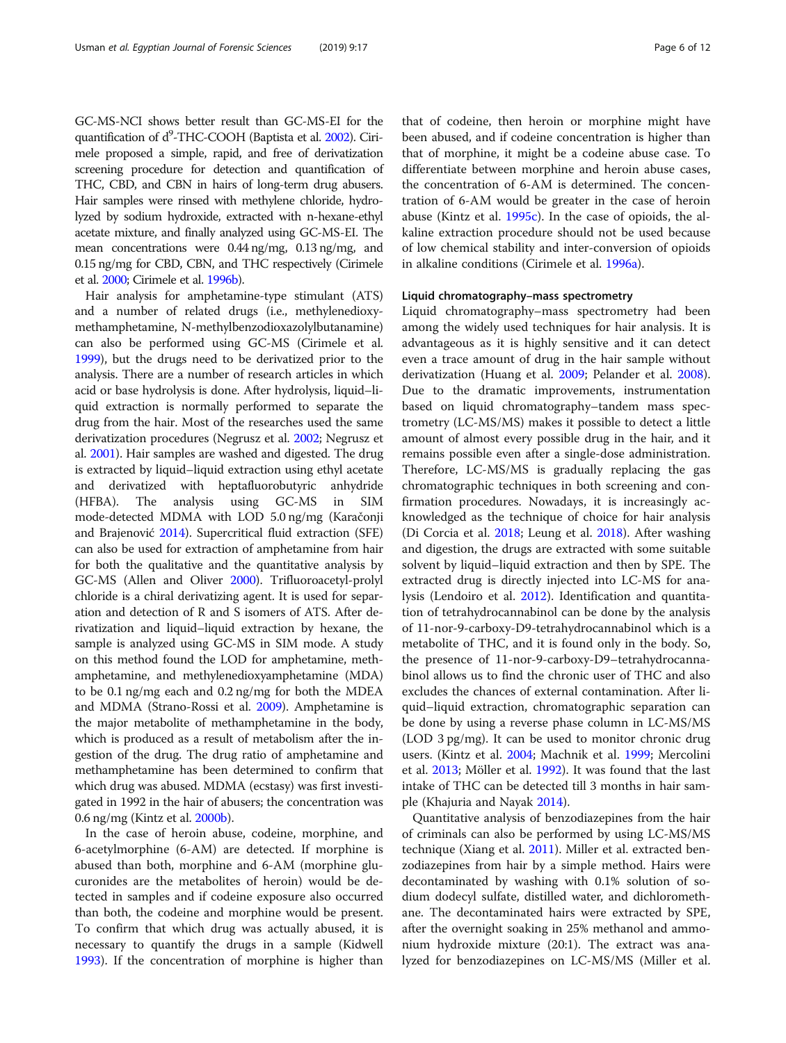GC-MS-NCI shows better result than GC-MS-EI for the quantification of d<sup>9</sup>-THC-COOH (Baptista et al. [2002\)](#page-8-0). Cirimele proposed a simple, rapid, and free of derivatization screening procedure for detection and quantification of THC, CBD, and CBN in hairs of long-term drug abusers. Hair samples were rinsed with methylene chloride, hydrolyzed by sodium hydroxide, extracted with n-hexane-ethyl acetate mixture, and finally analyzed using GC-MS-EI. The mean concentrations were 0.44 ng/mg, 0.13 ng/mg, and 0.15 ng/mg for CBD, CBN, and THC respectively (Cirimele et al. [2000](#page-9-0); Cirimele et al. [1996b](#page-9-0)).

Hair analysis for amphetamine-type stimulant (ATS) and a number of related drugs (i.e., methylenedioxymethamphetamine, N-methylbenzodioxazolylbutanamine) can also be performed using GC-MS (Cirimele et al. [1999\)](#page-9-0), but the drugs need to be derivatized prior to the analysis. There are a number of research articles in which acid or base hydrolysis is done. After hydrolysis, liquid–liquid extraction is normally performed to separate the drug from the hair. Most of the researches used the same derivatization procedures (Negrusz et al. [2002;](#page-10-0) Negrusz et al. [2001\)](#page-10-0). Hair samples are washed and digested. The drug is extracted by liquid–liquid extraction using ethyl acetate and derivatized with heptafluorobutyric anhydride (HFBA). The analysis using GC-MS in SIM mode-detected MDMA with LOD 5.0 ng/mg (Karačonji and Brajenović [2014](#page-9-0)). Supercritical fluid extraction (SFE) can also be used for extraction of amphetamine from hair for both the qualitative and the quantitative analysis by GC-MS (Allen and Oliver [2000\)](#page-8-0). Trifluoroacetyl-prolyl chloride is a chiral derivatizing agent. It is used for separation and detection of R and S isomers of ATS. After derivatization and liquid–liquid extraction by hexane, the sample is analyzed using GC-MS in SIM mode. A study on this method found the LOD for amphetamine, methamphetamine, and methylenedioxyamphetamine (MDA) to be 0.1 ng/mg each and 0.2 ng/mg for both the MDEA and MDMA (Strano-Rossi et al. [2009\)](#page-10-0). Amphetamine is the major metabolite of methamphetamine in the body, which is produced as a result of metabolism after the ingestion of the drug. The drug ratio of amphetamine and methamphetamine has been determined to confirm that which drug was abused. MDMA (ecstasy) was first investigated in 1992 in the hair of abusers; the concentration was 0.6 ng/mg (Kintz et al. [2000b](#page-9-0)).

In the case of heroin abuse, codeine, morphine, and 6-acetylmorphine (6-AM) are detected. If morphine is abused than both, morphine and 6-AM (morphine glucuronides are the metabolites of heroin) would be detected in samples and if codeine exposure also occurred than both, the codeine and morphine would be present. To confirm that which drug was actually abused, it is necessary to quantify the drugs in a sample (Kidwell [1993](#page-9-0)). If the concentration of morphine is higher than

that of codeine, then heroin or morphine might have been abused, and if codeine concentration is higher than that of morphine, it might be a codeine abuse case. To differentiate between morphine and heroin abuse cases, the concentration of 6-AM is determined. The concentration of 6-AM would be greater in the case of heroin abuse (Kintz et al. [1995c](#page-9-0)). In the case of opioids, the alkaline extraction procedure should not be used because of low chemical stability and inter-conversion of opioids in alkaline conditions (Cirimele et al. [1996a](#page-9-0)).

# Liquid chromatography–mass spectrometry

Liquid chromatography–mass spectrometry had been among the widely used techniques for hair analysis. It is advantageous as it is highly sensitive and it can detect even a trace amount of drug in the hair sample without derivatization (Huang et al. [2009](#page-9-0); Pelander et al. [2008](#page-10-0)). Due to the dramatic improvements, instrumentation based on liquid chromatography–tandem mass spectrometry (LC-MS/MS) makes it possible to detect a little amount of almost every possible drug in the hair, and it remains possible even after a single-dose administration. Therefore, LC-MS/MS is gradually replacing the gas chromatographic techniques in both screening and confirmation procedures. Nowadays, it is increasingly acknowledged as the technique of choice for hair analysis (Di Corcia et al. [2018;](#page-9-0) Leung et al. [2018](#page-10-0)). After washing and digestion, the drugs are extracted with some suitable solvent by liquid–liquid extraction and then by SPE. The extracted drug is directly injected into LC-MS for analysis (Lendoiro et al. [2012](#page-10-0)). Identification and quantitation of tetrahydrocannabinol can be done by the analysis of 11-nor-9-carboxy-D9-tetrahydrocannabinol which is a metabolite of THC, and it is found only in the body. So, the presence of 11-nor-9-carboxy-D9–tetrahydrocannabinol allows us to find the chronic user of THC and also excludes the chances of external contamination. After liquid–liquid extraction, chromatographic separation can be done by using a reverse phase column in LC-MS/MS (LOD 3 pg/mg). It can be used to monitor chronic drug users. (Kintz et al. [2004;](#page-10-0) Machnik et al. [1999;](#page-10-0) Mercolini et al. [2013](#page-10-0); Möller et al. [1992\)](#page-10-0). It was found that the last intake of THC can be detected till 3 months in hair sample (Khajuria and Nayak [2014\)](#page-9-0).

Quantitative analysis of benzodiazepines from the hair of criminals can also be performed by using LC-MS/MS technique (Xiang et al. [2011](#page-11-0)). Miller et al. extracted benzodiazepines from hair by a simple method. Hairs were decontaminated by washing with 0.1% solution of sodium dodecyl sulfate, distilled water, and dichloromethane. The decontaminated hairs were extracted by SPE, after the overnight soaking in 25% methanol and ammonium hydroxide mixture (20:1). The extract was analyzed for benzodiazepines on LC-MS/MS (Miller et al.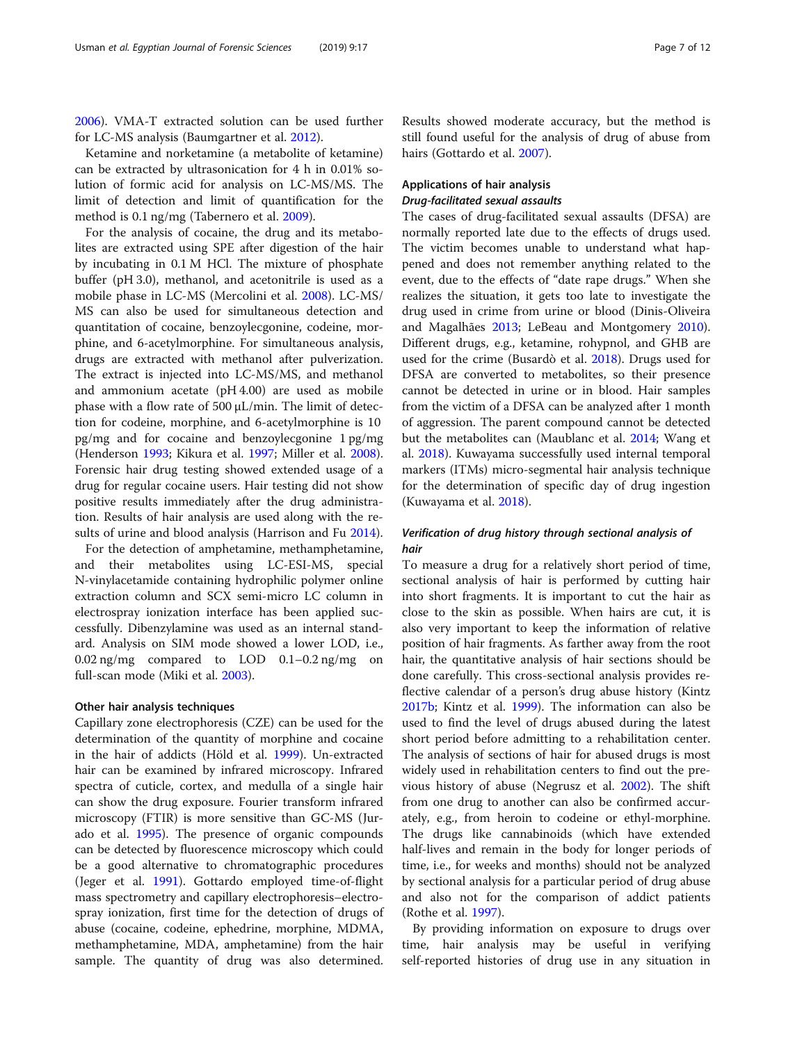[2006](#page-10-0)). VMA-T extracted solution can be used further for LC-MS analysis (Baumgartner et al. [2012\)](#page-8-0).

Ketamine and norketamine (a metabolite of ketamine) can be extracted by ultrasonication for 4 h in 0.01% solution of formic acid for analysis on LC-MS/MS. The limit of detection and limit of quantification for the method is 0.1 ng/mg (Tabernero et al. [2009\)](#page-10-0).

For the analysis of cocaine, the drug and its metabolites are extracted using SPE after digestion of the hair by incubating in 0.1 M HCl. The mixture of phosphate buffer (pH 3.0), methanol, and acetonitrile is used as a mobile phase in LC-MS (Mercolini et al. [2008](#page-10-0)). LC-MS/ MS can also be used for simultaneous detection and quantitation of cocaine, benzoylecgonine, codeine, morphine, and 6-acetylmorphine. For simultaneous analysis, drugs are extracted with methanol after pulverization. The extract is injected into LC-MS/MS, and methanol and ammonium acetate (pH 4.00) are used as mobile phase with a flow rate of 500 μL/min. The limit of detection for codeine, morphine, and 6-acetylmorphine is 10 pg/mg and for cocaine and benzoylecgonine 1 pg/mg (Henderson [1993](#page-9-0); Kikura et al. [1997;](#page-9-0) Miller et al. [2008](#page-10-0)). Forensic hair drug testing showed extended usage of a drug for regular cocaine users. Hair testing did not show positive results immediately after the drug administration. Results of hair analysis are used along with the results of urine and blood analysis (Harrison and Fu [2014](#page-9-0)).

For the detection of amphetamine, methamphetamine, and their metabolites using LC-ESI-MS, special N-vinylacetamide containing hydrophilic polymer online extraction column and SCX semi-micro LC column in electrospray ionization interface has been applied successfully. Dibenzylamine was used as an internal standard. Analysis on SIM mode showed a lower LOD, i.e., 0.02 ng/mg compared to LOD 0.1–0.2 ng/mg on full-scan mode (Miki et al. [2003\)](#page-10-0).

#### Other hair analysis techniques

Capillary zone electrophoresis (CZE) can be used for the determination of the quantity of morphine and cocaine in the hair of addicts (Höld et al. [1999\)](#page-9-0). Un-extracted hair can be examined by infrared microscopy. Infrared spectra of cuticle, cortex, and medulla of a single hair can show the drug exposure. Fourier transform infrared microscopy (FTIR) is more sensitive than GC-MS (Jurado et al. [1995\)](#page-9-0). The presence of organic compounds can be detected by fluorescence microscopy which could be a good alternative to chromatographic procedures (Jeger et al. [1991](#page-9-0)). Gottardo employed time-of-flight mass spectrometry and capillary electrophoresis–electrospray ionization, first time for the detection of drugs of abuse (cocaine, codeine, ephedrine, morphine, MDMA, methamphetamine, MDA, amphetamine) from the hair sample. The quantity of drug was also determined.

Results showed moderate accuracy, but the method is still found useful for the analysis of drug of abuse from hairs (Gottardo et al. [2007\)](#page-9-0).

# Applications of hair analysis Drug-facilitated sexual assaults

The cases of drug-facilitated sexual assaults (DFSA) are normally reported late due to the effects of drugs used. The victim becomes unable to understand what happened and does not remember anything related to the event, due to the effects of "date rape drugs." When she realizes the situation, it gets too late to investigate the drug used in crime from urine or blood (Dinis-Oliveira and Magalhães [2013;](#page-9-0) LeBeau and Montgomery [2010](#page-10-0)). Different drugs, e.g., ketamine, rohypnol, and GHB are used for the crime (Busardò et al. [2018\)](#page-9-0). Drugs used for DFSA are converted to metabolites, so their presence cannot be detected in urine or in blood. Hair samples from the victim of a DFSA can be analyzed after 1 month of aggression. The parent compound cannot be detected but the metabolites can (Maublanc et al. [2014](#page-10-0); Wang et al. [2018\)](#page-11-0). Kuwayama successfully used internal temporal markers (ITMs) micro-segmental hair analysis technique for the determination of specific day of drug ingestion (Kuwayama et al. [2018](#page-10-0)).

# Verification of drug history through sectional analysis of hair

To measure a drug for a relatively short period of time, sectional analysis of hair is performed by cutting hair into short fragments. It is important to cut the hair as close to the skin as possible. When hairs are cut, it is also very important to keep the information of relative position of hair fragments. As farther away from the root hair, the quantitative analysis of hair sections should be done carefully. This cross-sectional analysis provides reflective calendar of a person's drug abuse history (Kintz [2017b](#page-9-0); Kintz et al. [1999](#page-9-0)). The information can also be used to find the level of drugs abused during the latest short period before admitting to a rehabilitation center. The analysis of sections of hair for abused drugs is most widely used in rehabilitation centers to find out the previous history of abuse (Negrusz et al. [2002](#page-10-0)). The shift from one drug to another can also be confirmed accurately, e.g., from heroin to codeine or ethyl-morphine. The drugs like cannabinoids (which have extended half-lives and remain in the body for longer periods of time, i.e., for weeks and months) should not be analyzed by sectional analysis for a particular period of drug abuse and also not for the comparison of addict patients (Rothe et al. [1997](#page-10-0)).

By providing information on exposure to drugs over time, hair analysis may be useful in verifying self-reported histories of drug use in any situation in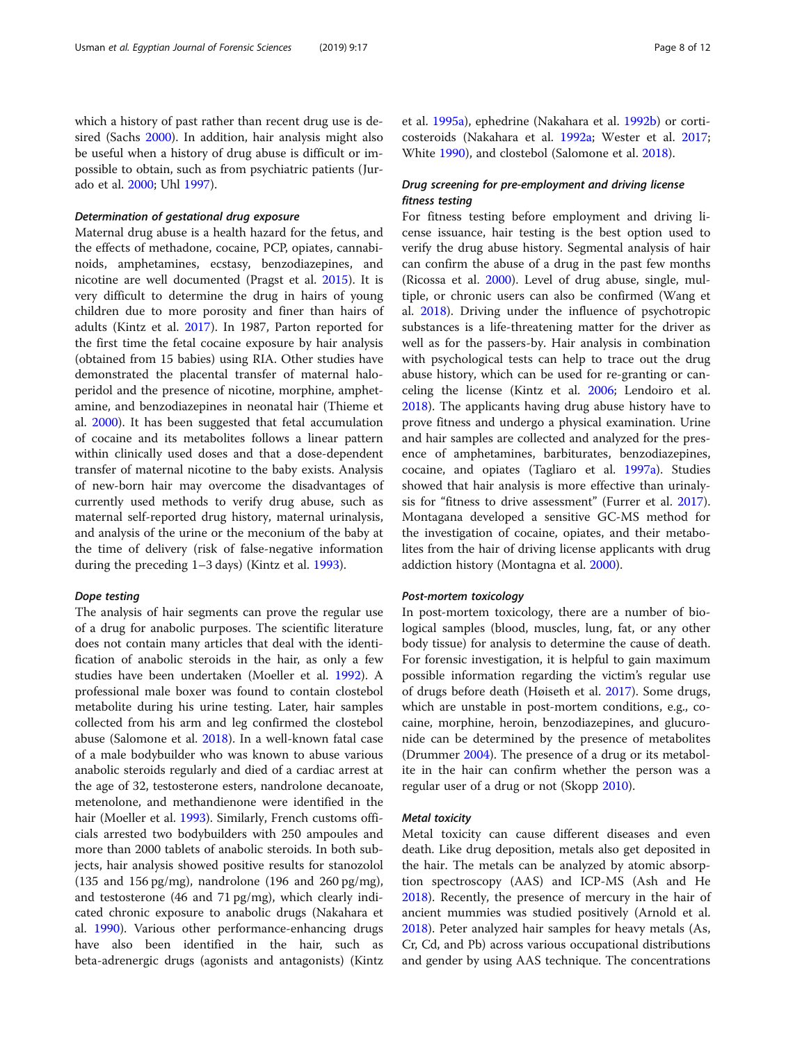which a history of past rather than recent drug use is desired (Sachs [2000\)](#page-10-0). In addition, hair analysis might also be useful when a history of drug abuse is difficult or impossible to obtain, such as from psychiatric patients (Jurado et al. [2000;](#page-9-0) Uhl [1997](#page-11-0)).

#### Determination of gestational drug exposure

Maternal drug abuse is a health hazard for the fetus, and the effects of methadone, cocaine, PCP, opiates, cannabinoids, amphetamines, ecstasy, benzodiazepines, and nicotine are well documented (Pragst et al. [2015\)](#page-10-0). It is very difficult to determine the drug in hairs of young children due to more porosity and finer than hairs of adults (Kintz et al. [2017\)](#page-9-0). In 1987, Parton reported for the first time the fetal cocaine exposure by hair analysis (obtained from 15 babies) using RIA. Other studies have demonstrated the placental transfer of maternal haloperidol and the presence of nicotine, morphine, amphetamine, and benzodiazepines in neonatal hair (Thieme et al. [2000](#page-11-0)). It has been suggested that fetal accumulation of cocaine and its metabolites follows a linear pattern within clinically used doses and that a dose-dependent transfer of maternal nicotine to the baby exists. Analysis of new-born hair may overcome the disadvantages of currently used methods to verify drug abuse, such as maternal self-reported drug history, maternal urinalysis, and analysis of the urine or the meconium of the baby at the time of delivery (risk of false-negative information during the preceding 1–3 days) (Kintz et al. [1993](#page-10-0)).

#### Dope testing

The analysis of hair segments can prove the regular use of a drug for anabolic purposes. The scientific literature does not contain many articles that deal with the identification of anabolic steroids in the hair, as only a few studies have been undertaken (Moeller et al. [1992\)](#page-10-0). A professional male boxer was found to contain clostebol metabolite during his urine testing. Later, hair samples collected from his arm and leg confirmed the clostebol abuse (Salomone et al. [2018\)](#page-10-0). In a well-known fatal case of a male bodybuilder who was known to abuse various anabolic steroids regularly and died of a cardiac arrest at the age of 32, testosterone esters, nandrolone decanoate, metenolone, and methandienone were identified in the hair (Moeller et al. [1993](#page-10-0)). Similarly, French customs officials arrested two bodybuilders with 250 ampoules and more than 2000 tablets of anabolic steroids. In both subjects, hair analysis showed positive results for stanozolol (135 and 156 pg/mg), nandrolone (196 and 260 pg/mg), and testosterone (46 and 71 pg/mg), which clearly indicated chronic exposure to anabolic drugs (Nakahara et al. [1990\)](#page-10-0). Various other performance-enhancing drugs have also been identified in the hair, such as beta-adrenergic drugs (agonists and antagonists) (Kintz et al. [1995a\)](#page-9-0), ephedrine (Nakahara et al. [1992b\)](#page-10-0) or corticosteroids (Nakahara et al. [1992a;](#page-10-0) Wester et al. [2017](#page-11-0); White [1990\)](#page-11-0), and clostebol (Salomone et al. [2018](#page-10-0)).

# Drug screening for pre-employment and driving license fitness testing

For fitness testing before employment and driving license issuance, hair testing is the best option used to verify the drug abuse history. Segmental analysis of hair can confirm the abuse of a drug in the past few months (Ricossa et al. [2000\)](#page-10-0). Level of drug abuse, single, multiple, or chronic users can also be confirmed (Wang et al. [2018](#page-11-0)). Driving under the influence of psychotropic substances is a life-threatening matter for the driver as well as for the passers-by. Hair analysis in combination with psychological tests can help to trace out the drug abuse history, which can be used for re-granting or canceling the license (Kintz et al. [2006](#page-10-0); Lendoiro et al. [2018](#page-10-0)). The applicants having drug abuse history have to prove fitness and undergo a physical examination. Urine and hair samples are collected and analyzed for the presence of amphetamines, barbiturates, benzodiazepines, cocaine, and opiates (Tagliaro et al. [1997a](#page-11-0)). Studies showed that hair analysis is more effective than urinalysis for "fitness to drive assessment" (Furrer et al. [2017](#page-9-0)). Montagana developed a sensitive GC-MS method for the investigation of cocaine, opiates, and their metabolites from the hair of driving license applicants with drug addiction history (Montagna et al. [2000\)](#page-10-0).

#### Post-mortem toxicology

In post-mortem toxicology, there are a number of biological samples (blood, muscles, lung, fat, or any other body tissue) for analysis to determine the cause of death. For forensic investigation, it is helpful to gain maximum possible information regarding the victim's regular use of drugs before death (Høiseth et al. [2017\)](#page-9-0). Some drugs, which are unstable in post-mortem conditions, e.g., cocaine, morphine, heroin, benzodiazepines, and glucuronide can be determined by the presence of metabolites (Drummer [2004](#page-9-0)). The presence of a drug or its metabolite in the hair can confirm whether the person was a regular user of a drug or not (Skopp [2010](#page-10-0)).

#### Metal toxicity

Metal toxicity can cause different diseases and even death. Like drug deposition, metals also get deposited in the hair. The metals can be analyzed by atomic absorption spectroscopy (AAS) and ICP-MS (Ash and He [2018](#page-8-0)). Recently, the presence of mercury in the hair of ancient mummies was studied positively (Arnold et al. [2018](#page-8-0)). Peter analyzed hair samples for heavy metals (As, Cr, Cd, and Pb) across various occupational distributions and gender by using AAS technique. The concentrations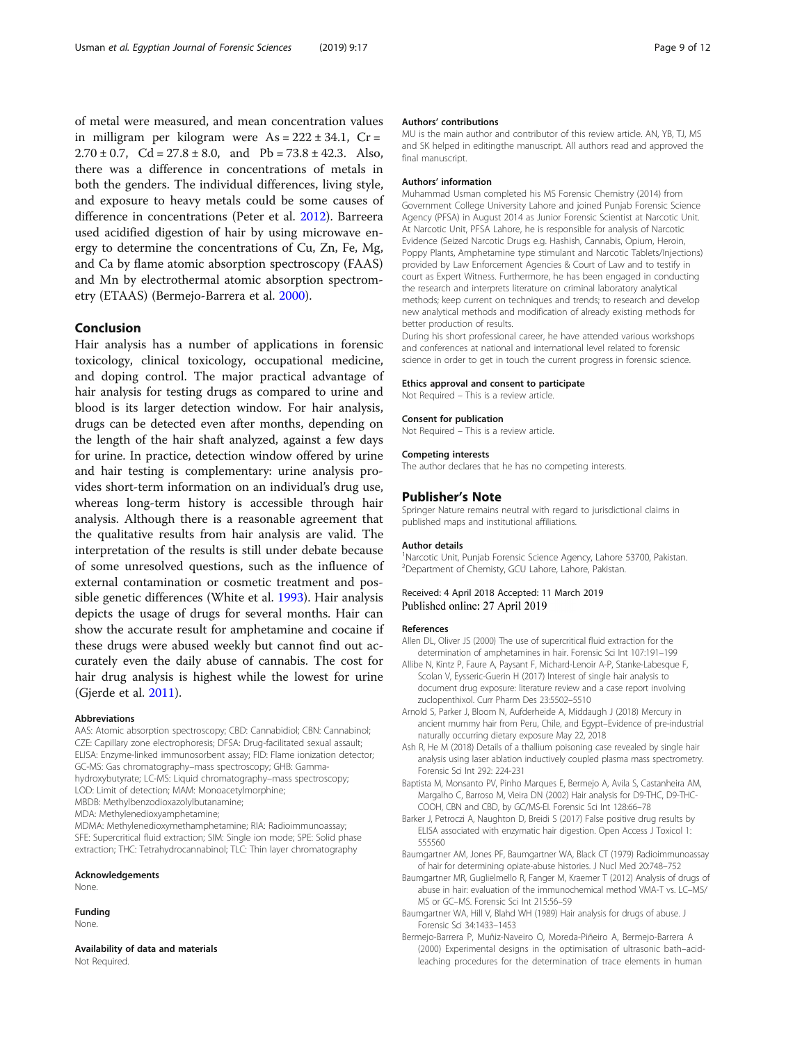<span id="page-8-0"></span>of metal were measured, and mean concentration values in milligram per kilogram were  $As = 222 \pm 34.1$ ,  $Cr =$  $2.70 \pm 0.7$ ,  $Cd = 27.8 \pm 8.0$ , and  $Pb = 73.8 \pm 42.3$ . Also, there was a difference in concentrations of metals in both the genders. The individual differences, living style, and exposure to heavy metals could be some causes of difference in concentrations (Peter et al. [2012](#page-10-0)). Barreera used acidified digestion of hair by using microwave energy to determine the concentrations of Cu, Zn, Fe, Mg, and Ca by flame atomic absorption spectroscopy (FAAS) and Mn by electrothermal atomic absorption spectrometry (ETAAS) (Bermejo-Barrera et al. 2000).

# Conclusion

Hair analysis has a number of applications in forensic toxicology, clinical toxicology, occupational medicine, and doping control. The major practical advantage of hair analysis for testing drugs as compared to urine and blood is its larger detection window. For hair analysis, drugs can be detected even after months, depending on the length of the hair shaft analyzed, against a few days for urine. In practice, detection window offered by urine and hair testing is complementary: urine analysis provides short-term information on an individual's drug use, whereas long-term history is accessible through hair analysis. Although there is a reasonable agreement that the qualitative results from hair analysis are valid. The interpretation of the results is still under debate because of some unresolved questions, such as the influence of external contamination or cosmetic treatment and possible genetic differences (White et al. [1993](#page-11-0)). Hair analysis depicts the usage of drugs for several months. Hair can show the accurate result for amphetamine and cocaine if these drugs were abused weekly but cannot find out accurately even the daily abuse of cannabis. The cost for hair drug analysis is highest while the lowest for urine (Gjerde et al. [2011](#page-9-0)).

#### Abbreviations

AAS: Atomic absorption spectroscopy; CBD: Cannabidiol; CBN: Cannabinol; CZE: Capillary zone electrophoresis; DFSA: Drug-facilitated sexual assault; ELISA: Enzyme-linked immunosorbent assay; FID: Flame ionization detector; GC-MS: Gas chromatography–mass spectroscopy; GHB: Gammahydroxybutyrate; LC-MS: Liquid chromatography–mass spectroscopy; LOD: Limit of detection; MAM: Monoacetylmorphine;

MBDB: Methylbenzodioxazolylbutanamine;

MDA: Methylenedioxyamphetamine;

MDMA: Methylenedioxymethamphetamine; RIA: Radioimmunoassay; SFE: Supercritical fluid extraction; SIM: Single ion mode; SPE: Solid phase extraction; THC: Tetrahydrocannabinol; TLC: Thin layer chromatography

#### Acknowledgements

None.

#### Funding None.

Availability of data and materials Not Required.

#### Authors' contributions

MU is the main author and contributor of this review article. AN, YB, TJ, MS and SK helped in editingthe manuscript. All authors read and approved the final manuscript.

#### Authors' information

Muhammad Usman completed his MS Forensic Chemistry (2014) from Government College University Lahore and joined Punjab Forensic Science Agency (PFSA) in August 2014 as Junior Forensic Scientist at Narcotic Unit. At Narcotic Unit, PFSA Lahore, he is responsible for analysis of Narcotic Evidence (Seized Narcotic Drugs e.g. Hashish, Cannabis, Opium, Heroin, Poppy Plants, Amphetamine type stimulant and Narcotic Tablets/Injections) provided by Law Enforcement Agencies & Court of Law and to testify in court as Expert Witness. Furthermore, he has been engaged in conducting the research and interprets literature on criminal laboratory analytical methods; keep current on techniques and trends; to research and develop new analytical methods and modification of already existing methods for better production of results.

During his short professional career, he have attended various workshops and conferences at national and international level related to forensic science in order to get in touch the current progress in forensic science.

#### Ethics approval and consent to participate

Not Required – This is a review article.

#### Consent for publication

Not Required – This is a review article.

#### Competing interests

The author declares that he has no competing interests.

#### Publisher's Note

Springer Nature remains neutral with regard to jurisdictional claims in published maps and institutional affiliations.

#### Author details

<sup>1</sup>Narcotic Unit, Punjab Forensic Science Agency, Lahore 53700, Pakistan. 2 Department of Chemisty, GCU Lahore, Lahore, Pakistan.

#### Received: 4 April 2018 Accepted: 11 March 2019 Published online: 27 April 2019

#### References

- Allen DL, Oliver JS (2000) The use of supercritical fluid extraction for the determination of amphetamines in hair. Forensic Sci Int 107:191–199
- Allibe N, Kintz P, Faure A, Paysant F, Michard-Lenoir A-P, Stanke-Labesque F, Scolan V, Eysseric-Guerin H (2017) Interest of single hair analysis to document drug exposure: literature review and a case report involving zuclopenthixol. Curr Pharm Des 23:5502–5510
- Arnold S, Parker J, Bloom N, Aufderheide A, Middaugh J (2018) Mercury in ancient mummy hair from Peru, Chile, and Egypt–Evidence of pre-industrial naturally occurring dietary exposure May 22, 2018
- Ash R, He M (2018) Details of a thallium poisoning case revealed by single hair analysis using laser ablation inductively coupled plasma mass spectrometry. Forensic Sci Int 292: 224-231
- Baptista M, Monsanto PV, Pinho Marques E, Bermejo A, Avila S, Castanheira AM, Margalho C, Barroso M, Vieira DN (2002) Hair analysis for D9-THC, D9-THC-COOH, CBN and CBD, by GC/MS-EI. Forensic Sci Int 128:66–78
- Barker J, Petroczi A, Naughton D, Breidi S (2017) False positive drug results by ELISA associated with enzymatic hair digestion. Open Access J Toxicol 1: 555560
- Baumgartner AM, Jones PF, Baumgartner WA, Black CT (1979) Radioimmunoassay of hair for determining opiate-abuse histories. J Nucl Med 20:748–752
- Baumgartner MR, Guglielmello R, Fanger M, Kraemer T (2012) Analysis of drugs of abuse in hair: evaluation of the immunochemical method VMA-T vs. LC–MS/ MS or GC–MS. Forensic Sci Int 215:56–59
- Baumgartner WA, Hill V, Blahd WH (1989) Hair analysis for drugs of abuse. J Forensic Sci 34:1433–1453
- Bermejo-Barrera P, Muñiz-Naveiro O, Moreda-Piñeiro A, Bermejo-Barrera A (2000) Experimental designs in the optimisation of ultrasonic bath–acidleaching procedures for the determination of trace elements in human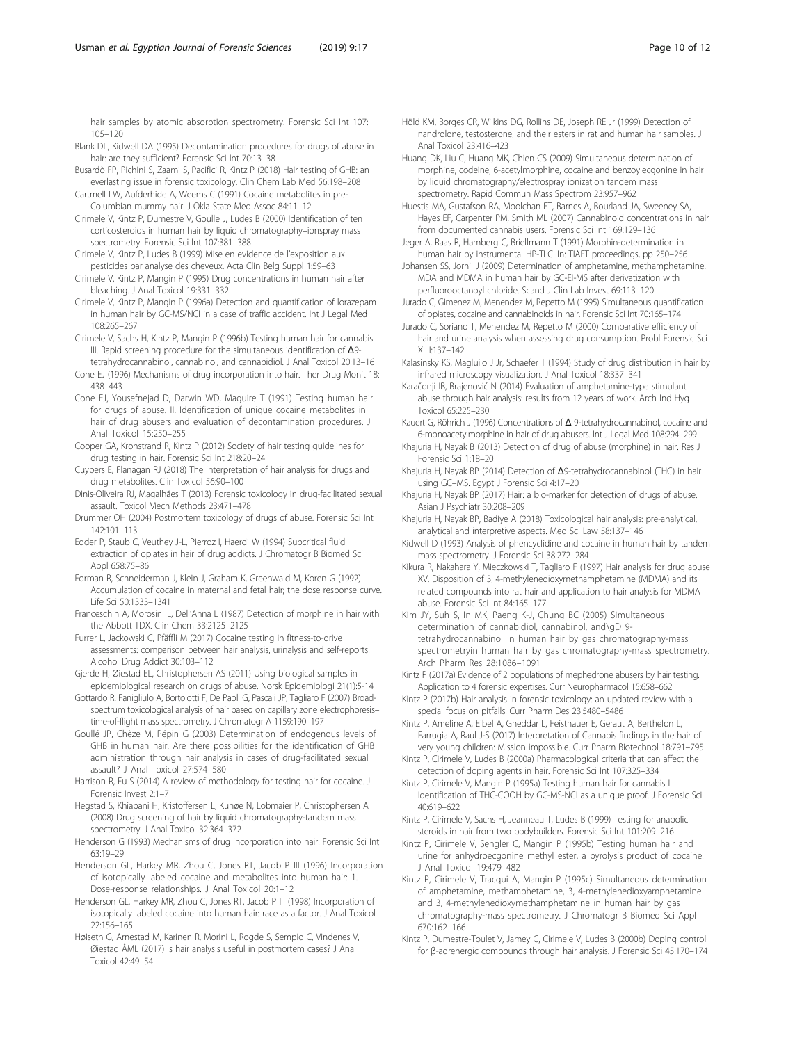<span id="page-9-0"></span>hair samples by atomic absorption spectrometry. Forensic Sci Int 107: 105–120

Blank DL, Kidwell DA (1995) Decontamination procedures for drugs of abuse in hair: are they sufficient? Forensic Sci Int 70:13–38

Busardò FP, Pichini S, Zaami S, Pacifici R, Kintz P (2018) Hair testing of GHB: an everlasting issue in forensic toxicology. Clin Chem Lab Med 56:198–208

Cartmell LW, Aufderhide A, Weems C (1991) Cocaine metabolites in pre-Columbian mummy hair. J Okla State Med Assoc 84:11–12

Cirimele V, Kintz P, Dumestre V, Goulle J, Ludes B (2000) Identification of ten corticosteroids in human hair by liquid chromatography–ionspray mass spectrometry. Forensic Sci Int 107:381–388

Cirimele V, Kintz P, Ludes B (1999) Mise en evidence de l'exposition aux pesticides par analyse des cheveux. Acta Clin Belg Suppl 1:59–63

Cirimele V, Kintz P, Mangin P (1995) Drug concentrations in human hair after bleaching. J Anal Toxicol 19:331–332

Cirimele V, Kintz P, Mangin P (1996a) Detection and quantification of lorazepam in human hair by GC-MS/NCI in a case of traffic accident. Int J Legal Med 108:265–267

Cirimele V, Sachs H, Kintz P, Mangin P (1996b) Testing human hair for cannabis. III. Rapid screening procedure for the simultaneous identification of Δ9 tetrahydrocannabinol, cannabinol, and cannabidiol. J Anal Toxicol 20:13–16

- Cone EJ (1996) Mechanisms of drug incorporation into hair. Ther Drug Monit 18: 438–443
- Cone EJ, Yousefnejad D, Darwin WD, Maguire T (1991) Testing human hair for drugs of abuse. II. Identification of unique cocaine metabolites in hair of drug abusers and evaluation of decontamination procedures. J Anal Toxicol 15:250–255

Cooper GA, Kronstrand R, Kintz P (2012) Society of hair testing guidelines for drug testing in hair. Forensic Sci Int 218:20–24

Cuypers E, Flanagan RJ (2018) The interpretation of hair analysis for drugs and drug metabolites. Clin Toxicol 56:90–100

Dinis-Oliveira RJ, Magalhães T (2013) Forensic toxicology in drug-facilitated sexual assault. Toxicol Mech Methods 23:471–478

Drummer OH (2004) Postmortem toxicology of drugs of abuse. Forensic Sci Int 142:101–113

Edder P, Staub C, Veuthey J-L, Pierroz I, Haerdi W (1994) Subcritical fluid extraction of opiates in hair of drug addicts. J Chromatogr B Biomed Sci Appl 658:75–86

Forman R, Schneiderman J, Klein J, Graham K, Greenwald M, Koren G (1992) Accumulation of cocaine in maternal and fetal hair; the dose response curve. Life Sci 50:1333–1341

Franceschin A, Morosini L, Dell'Anna L (1987) Detection of morphine in hair with the Abbott TDX. Clin Chem 33:2125–2125

Furrer L, Jackowski C, Pfäffli M (2017) Cocaine testing in fitness-to-drive assessments: comparison between hair analysis, urinalysis and self-reports. Alcohol Drug Addict 30:103–112

Gjerde H, Øiestad EL, Christophersen AS (2011) Using biological samples in epidemiological research on drugs of abuse. Norsk Epidemiologi 21(1):5-14

Gottardo R, Fanigliulo A, Bortolotti F, De Paoli G, Pascali JP, Tagliaro F (2007) Broadspectrum toxicological analysis of hair based on capillary zone electrophoresis– time-of-flight mass spectrometry. J Chromatogr A 1159:190–197

Goullé JP, Chèze M, Pépin G (2003) Determination of endogenous levels of GHB in human hair. Are there possibilities for the identification of GHB administration through hair analysis in cases of drug-facilitated sexual assault? J Anal Toxicol 27:574–580

Harrison R, Fu S (2014) A review of methodology for testing hair for cocaine. J Forensic Invest 2:1–7

Hegstad S, Khiabani H, Kristoffersen L, Kunøe N, Lobmaier P, Christophersen A (2008) Drug screening of hair by liquid chromatography-tandem mass spectrometry. J Anal Toxicol 32:364–372

Henderson G (1993) Mechanisms of drug incorporation into hair. Forensic Sci Int 63:19–29

Henderson GL, Harkey MR, Zhou C, Jones RT, Jacob P III (1996) Incorporation of isotopically labeled cocaine and metabolites into human hair: 1. Dose-response relationships. J Anal Toxicol 20:1–12

Henderson GL, Harkey MR, Zhou C, Jones RT, Jacob P III (1998) Incorporation of isotopically labeled cocaine into human hair: race as a factor. J Anal Toxicol 22:156–165

Høiseth G, Arnestad M, Karinen R, Morini L, Rogde S, Sempio C, Vindenes V, Øiestad ÅML (2017) Is hair analysis useful in postmortem cases? J Anal Toxicol 42:49–54

- Höld KM, Borges CR, Wilkins DG, Rollins DE, Joseph RE Jr (1999) Detection of nandrolone, testosterone, and their esters in rat and human hair samples. J Anal Toxicol 23:416–423
- Huang DK, Liu C, Huang MK, Chien CS (2009) Simultaneous determination of morphine, codeine, 6-acetylmorphine, cocaine and benzoylecgonine in hair by liquid chromatography/electrospray ionization tandem mass spectrometry. Rapid Commun Mass Spectrom 23:957–962

Huestis MA, Gustafson RA, Moolchan ET, Barnes A, Bourland JA, Sweeney SA, Hayes EF, Carpenter PM, Smith ML (2007) Cannabinoid concentrations in hair from documented cannabis users. Forensic Sci Int 169:129–136

Jeger A, Raas R, Hamberg C, Briellmann T (1991) Morphin-determination in human hair by instrumental HP-TLC. In: TIAFT proceedings, pp 250–256

Johansen SS, Jornil J (2009) Determination of amphetamine, methamphetamine, MDA and MDMA in human hair by GC-EI-MS after derivatization with perfluorooctanoyl chloride. Scand J Clin Lab Invest 69:113–120

Jurado C, Gimenez M, Menendez M, Repetto M (1995) Simultaneous quantification of opiates, cocaine and cannabinoids in hair. Forensic Sci Int 70:165–174

Jurado C, Soriano T, Menendez M, Repetto M (2000) Comparative efficiency of hair and urine analysis when assessing drug consumption. Probl Forensic Sci XLII:137–142

Kalasinsky KS, Magluilo J Jr, Schaefer T (1994) Study of drug distribution in hair by infrared microscopy visualization. J Anal Toxicol 18:337–341

Karačonji IB, Brajenović N (2014) Evaluation of amphetamine-type stimulant abuse through hair analysis: results from 12 years of work. Arch Ind Hyg Toxicol 65:225–230

Kauert G, Röhrich J (1996) Concentrations of Δ 9-tetrahydrocannabinol, cocaine and 6-monoacetylmorphine in hair of drug abusers. Int J Legal Med 108:294–299

Khajuria H, Nayak B (2013) Detection of drug of abuse (morphine) in hair. Res J Forensic Sci 1:18–20

Khajuria H, Nayak BP (2014) Detection of Δ9-tetrahydrocannabinol (THC) in hair using GC–MS. Egypt J Forensic Sci 4:17–20

Khajuria H, Nayak BP (2017) Hair: a bio-marker for detection of drugs of abuse. Asian J Psychiatr 30:208–209

Khajuria H, Nayak BP, Badiye A (2018) Toxicological hair analysis: pre-analytical, analytical and interpretive aspects. Med Sci Law 58:137–146

Kidwell D (1993) Analysis of phencyclidine and cocaine in human hair by tandem mass spectrometry. J Forensic Sci 38:272–284

Kikura R, Nakahara Y, Mieczkowski T, Tagliaro F (1997) Hair analysis for drug abuse XV. Disposition of 3, 4-methylenedioxymethamphetamine (MDMA) and its related compounds into rat hair and application to hair analysis for MDMA abuse. Forensic Sci Int 84:165–177

Kim JY, Suh S, In MK, Paeng K-J, Chung BC (2005) Simultaneous determination of cannabidiol, cannabinol, and\gD 9 tetrahydrocannabinol in human hair by gas chromatography-mass spectrometryin human hair by gas chromatography-mass spectrometry. Arch Pharm Res 28:1086–1091

Kintz P (2017a) Evidence of 2 populations of mephedrone abusers by hair testing. Application to 4 forensic expertises. Curr Neuropharmacol 15:658–662

Kintz P (2017b) Hair analysis in forensic toxicology: an updated review with a special focus on pitfalls. Curr Pharm Des 23:5480–5486

Kintz P, Ameline A, Eibel A, Gheddar L, Feisthauer E, Geraut A, Berthelon L, Farrugia A, Raul J-S (2017) Interpretation of Cannabis findings in the hair of very young children: Mission impossible. Curr Pharm Biotechnol 18:791–795

Kintz P, Cirimele V, Ludes B (2000a) Pharmacological criteria that can affect the detection of doping agents in hair. Forensic Sci Int 107:325–334

Kintz P, Cirimele V, Mangin P (1995a) Testing human hair for cannabis II. Identification of THC-COOH by GC-MS-NCI as a unique proof. J Forensic Sci 40:619–622

Kintz P, Cirimele V, Sachs H, Jeanneau T, Ludes B (1999) Testing for anabolic steroids in hair from two bodybuilders. Forensic Sci Int 101:209–216

Kintz P, Cirimele V, Sengler C, Mangin P (1995b) Testing human hair and urine for anhydroecgonine methyl ester, a pyrolysis product of cocaine. J Anal Toxicol 19:479–482

Kintz P, Cirimele V, Tracqui A, Mangin P (1995c) Simultaneous determination of amphetamine, methamphetamine, 3, 4-methylenedioxyamphetamine and 3, 4-methylenedioxymethamphetamine in human hair by gas chromatography-mass spectrometry. J Chromatogr B Biomed Sci Appl 670:162–166

Kintz P, Dumestre-Toulet V, Jamey C, Cirimele V, Ludes B (2000b) Doping control for β-adrenergic compounds through hair analysis. J Forensic Sci 45:170–174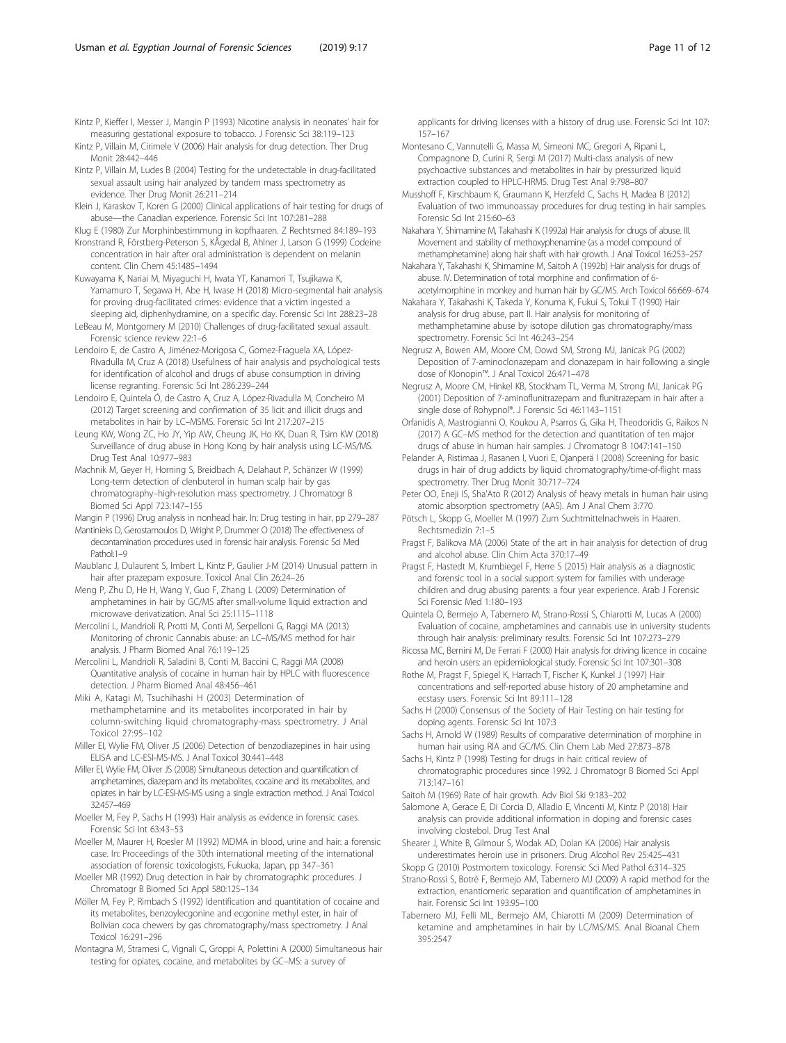<span id="page-10-0"></span>Kintz P, Kieffer I, Messer J, Mangin P (1993) Nicotine analysis in neonates' hair for measuring gestational exposure to tobacco. J Forensic Sci 38:119–123

Kintz P, Villain M, Cirimele V (2006) Hair analysis for drug detection. Ther Drug Monit 28:442–446 Kintz P, Villain M, Ludes B (2004) Testing for the undetectable in drug-facilitated

sexual assault using hair analyzed by tandem mass spectrometry as evidence. Ther Drug Monit 26:211–214

Klein J, Karaskov T, Koren G (2000) Clinical applications of hair testing for drugs of abuse—the Canadian experience. Forensic Sci Int 107:281–288

Klug E (1980) Zur Morphinbestimmung in kopfhaaren. Z Rechtsmed 84:189–193

Kronstrand R, Förstberg-Peterson S, KÅgedal B, Ahlner J, Larson G (1999) Codeine concentration in hair after oral administration is dependent on melanin content. Clin Chem 45:1485–1494

- Kuwayama K, Nariai M, Miyaguchi H, Iwata YT, Kanamori T, Tsujikawa K, Yamamuro T, Segawa H, Abe H, Iwase H (2018) Micro-segmental hair analysis for proving drug-facilitated crimes: evidence that a victim ingested a sleeping aid, diphenhydramine, on a specific day. Forensic Sci Int 288:23–28
- LeBeau M, Montgomery M (2010) Challenges of drug-facilitated sexual assault. Forensic science review 22:1–6

Lendoiro E, de Castro A, Jiménez-Morigosa C, Gomez-Fraguela XA, López-Rivadulla M, Cruz A (2018) Usefulness of hair analysis and psychological tests for identification of alcohol and drugs of abuse consumption in driving license regranting. Forensic Sci Int 286:239–244

Lendoiro E, Quintela Ó, de Castro A, Cruz A, López-Rivadulla M, Concheiro M (2012) Target screening and confirmation of 35 licit and illicit drugs and metabolites in hair by LC–MSMS. Forensic Sci Int 217:207–215

Leung KW, Wong ZC, Ho JY, Yip AW, Cheung JK, Ho KK, Duan R, Tsim KW (2018) Surveillance of drug abuse in Hong Kong by hair analysis using LC-MS/MS. Drug Test Anal 10:977–983

Machnik M, Geyer H, Horning S, Breidbach A, Delahaut P, Schänzer W (1999) Long-term detection of clenbuterol in human scalp hair by gas chromatography–high-resolution mass spectrometry. J Chromatogr B Biomed Sci Appl 723:147–155

Mangin P (1996) Drug analysis in nonhead hair. In: Drug testing in hair, pp 279–287

Mantinieks D, Gerostamoulos D, Wright P, Drummer O (2018) The effectiveness of decontamination procedures used in forensic hair analysis. Forensic Sci Med Pathol:1–9

Maublanc J, Dulaurent S, Imbert L, Kintz P, Gaulier J-M (2014) Unusual pattern in hair after prazepam exposure. Toxicol Anal Clin 26:24–26

Meng P, Zhu D, He H, Wang Y, Guo F, Zhang L (2009) Determination of amphetamines in hair by GC/MS after small-volume liquid extraction and microwave derivatization. Anal Sci 25:1115–1118

Mercolini L, Mandrioli R, Protti M, Conti M, Serpelloni G, Raggi MA (2013) Monitoring of chronic Cannabis abuse: an LC–MS/MS method for hair analysis. J Pharm Biomed Anal 76:119–125

Mercolini L, Mandrioli R, Saladini B, Conti M, Baccini C, Raggi MA (2008) Quantitative analysis of cocaine in human hair by HPLC with fluorescence detection. J Pharm Biomed Anal 48:456–461

Miki A, Katagi M, Tsuchihashi H (2003) Determination of methamphetamine and its metabolites incorporated in hair by column-switching liquid chromatography-mass spectrometry. J Anal Toxicol 27:95–102

Miller EI, Wylie FM, Oliver JS (2006) Detection of benzodiazepines in hair using ELISA and LC-ESI-MS-MS. J Anal Toxicol 30:441–448

Miller EI, Wylie FM, Oliver JS (2008) Simultaneous detection and quantification of amphetamines, diazepam and its metabolites, cocaine and its metabolites, and opiates in hair by LC-ESI-MS-MS using a single extraction method. J Anal Toxicol 32:457–469

Moeller M, Fey P, Sachs H (1993) Hair analysis as evidence in forensic cases. Forensic Sci Int 63:43–53

Moeller M, Maurer H, Roesler M (1992) MDMA in blood, urine and hair: a forensic case. In: Proceedings of the 30th international meeting of the international association of forensic toxicologists, Fukuoka, Japan, pp 347–361

Moeller MR (1992) Drug detection in hair by chromatographic procedures. J Chromatogr B Biomed Sci Appl 580:125–134

Möller M, Fey P, Rimbach S (1992) Identification and quantitation of cocaine and its metabolites, benzoylecgonine and ecgonine methyl ester, in hair of Bolivian coca chewers by gas chromatography/mass spectrometry. J Anal Toxicol 16:291–296

Montagna M, Stramesi C, Vignali C, Groppi A, Polettini A (2000) Simultaneous hair testing for opiates, cocaine, and metabolites by GC–MS: a survey of

applicants for driving licenses with a history of drug use. Forensic Sci Int 107: 157–167

Montesano C, Vannutelli G, Massa M, Simeoni MC, Gregori A, Ripani L, Compagnone D, Curini R, Sergi M (2017) Multi-class analysis of new psychoactive substances and metabolites in hair by pressurized liquid extraction coupled to HPLC-HRMS. Drug Test Anal 9:798–807

Musshoff F, Kirschbaum K, Graumann K, Herzfeld C, Sachs H, Madea B (2012) Evaluation of two immunoassay procedures for drug testing in hair samples. Forensic Sci Int 215:60–63

Nakahara Y, Shimamine M, Takahashi K (1992a) Hair analysis for drugs of abuse. III. Movement and stability of methoxyphenamine (as a model compound of methamphetamine) along hair shaft with hair growth. J Anal Toxicol 16:253–257

Nakahara Y, Takahashi K, Shimamine M, Saitoh A (1992b) Hair analysis for drugs of abuse. IV. Determination of total morphine and confirmation of 6 acetylmorphine in monkey and human hair by GC/MS. Arch Toxicol 66:669–674

Nakahara Y, Takahashi K, Takeda Y, Konuma K, Fukui S, Tokui T (1990) Hair analysis for drug abuse, part II. Hair analysis for monitoring of methamphetamine abuse by isotope dilution gas chromatography/mass spectrometry. Forensic Sci Int 46:243–254

Negrusz A, Bowen AM, Moore CM, Dowd SM, Strong MJ, Janicak PG (2002) Deposition of 7-aminoclonazepam and clonazepam in hair following a single dose of Klonopin™. J Anal Toxicol 26:471–478

Negrusz A, Moore CM, Hinkel KB, Stockham TL, Verma M, Strong MJ, Janicak PG (2001) Deposition of 7-aminoflunitrazepam and flunitrazepam in hair after a single dose of Rohypnol®. J Forensic Sci 46:1143–1151

Orfanidis A, Mastrogianni O, Koukou A, Psarros G, Gika H, Theodoridis G, Raikos N (2017) A GC–MS method for the detection and quantitation of ten major drugs of abuse in human hair samples. J Chromatogr B 1047:141–150

Pelander A, Ristimaa J, Rasanen I, Vuori E, Ojanperä I (2008) Screening for basic drugs in hair of drug addicts by liquid chromatography/time-of-flight mass spectrometry. Ther Drug Monit 30:717–724

Peter OO, Eneji IS, Sha'Ato R (2012) Analysis of heavy metals in human hair using atomic absorption spectrometry (AAS). Am J Anal Chem 3:770

Pötsch L, Skopp G, Moeller M (1997) Zum Suchtmittelnachweis in Haaren. Rechtsmedizin 7:1–5

Pragst F, Balikova MA (2006) State of the art in hair analysis for detection of drug and alcohol abuse. Clin Chim Acta 370:17–49

Pragst F, Hastedt M, Krumbiegel F, Herre S (2015) Hair analysis as a diagnostic and forensic tool in a social support system for families with underage children and drug abusing parents: a four year experience. Arab J Forensic Sci Forensic Med 1:180–193

Quintela O, Bermejo A, Tabernero M, Strano-Rossi S, Chiarotti M, Lucas A (2000) Evaluation of cocaine, amphetamines and cannabis use in university students through hair analysis: preliminary results. Forensic Sci Int 107:273–279

Ricossa MC, Bernini M, De Ferrari F (2000) Hair analysis for driving licence in cocaine and heroin users: an epidemiological study. Forensic Sci Int 107:301–308

Rothe M, Pragst F, Spiegel K, Harrach T, Fischer K, Kunkel J (1997) Hair concentrations and self-reported abuse history of 20 amphetamine and ecstasy users. Forensic Sci Int 89:111–128

Sachs H (2000) Consensus of the Society of Hair Testing on hair testing for doping agents. Forensic Sci Int 107:3

Sachs H, Arnold W (1989) Results of comparative determination of morphine in human hair using RIA and GC/MS. Clin Chem Lab Med 27:873–878

Sachs H, Kintz P (1998) Testing for drugs in hair: critical review of chromatographic procedures since 1992. J Chromatogr B Biomed Sci Appl 713:147–161

Saitoh M (1969) Rate of hair growth. Adv Biol Ski 9:183–202

Salomone A, Gerace E, Di Corcia D, Alladio E, Vincenti M, Kintz P (2018) Hair analysis can provide additional information in doping and forensic cases involving clostebol. Drug Test Anal

Shearer J, White B, Gilmour S, Wodak AD, Dolan KA (2006) Hair analysis underestimates heroin use in prisoners. Drug Alcohol Rev 25:425–431

Skopp G (2010) Postmortem toxicology. Forensic Sci Med Pathol 6:314–325

Strano-Rossi S, Botrè F, Bermejo AM, Tabernero MJ (2009) A rapid method for the extraction, enantiomeric separation and quantification of amphetamines in hair. Forensic Sci Int 193:95–100

Tabernero MJ, Felli ML, Bermejo AM, Chiarotti M (2009) Determination of ketamine and amphetamines in hair by LC/MS/MS. Anal Bioanal Chem 395:2547